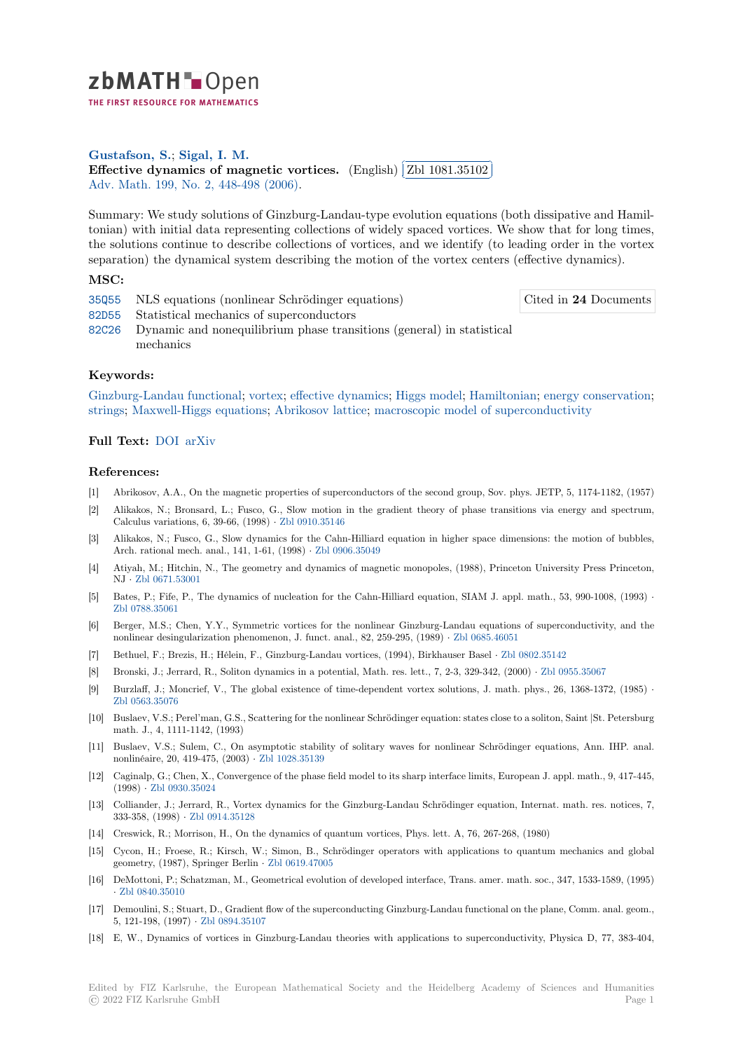

THE FIRST RESOURCE FOR MATHEMATICS

**Gustafson, S.**; **Sigal, I. M. [E](https://zbmath.org/)ffective dynamics of magnetic vortices.** (English) ✂ Zbl 1081.35102 Adv. Math. 199, No. 2, 448-498 (2006).

[Summary: We s](https://zbmath.org/authors/?q=ai:gustafson.stephen-j)t[udy solutions](https://zbmath.org/authors/?q=ai:sigal.israel-michael) of Ginzburg-Landau-type evolution equations (both dissipative and Hamil[tonian\) with initial data representing collection](https://zbmath.org/1081.35102)s of widel[y spaced vortices.](https://zbmath.org/1081.35102) We show that for long times, [the solution](https://zbmath.org/journals/?q=se:290)[s continue to describe colle](https://zbmath.org/?q=in:122109)ctions of vortices, and we identify (to leading order in the vortex separation) the dynamical system describing the motion of the vortex centers (effective dynamics).

## **MSC:**

35Q55 NLS equations (nonlinear Schrödinger equations)

Cited in **24** Documents

ĺ. ✁

- 82D55 Statistical mechanics of superconductors
- 82C26 Dynamic and nonequilibrium phase transitions (general) in statistical mechanics

# **[Keyw](https://zbmath.org/classification/?q=cc:82D55)ords:**

[Ginzbu](https://zbmath.org/classification/?q=cc:82C26)rg-Landau functional; vortex; effective dynamics; Higgs model; Hamiltonian; energy conservation; strings; Maxwell-Higgs equations; Abrikosov lattice; macroscopic model of superconductivity

## **Full Text:** DOI arXiv

### **[Refere](https://zbmath.org/?q=ut:strings)[nces:](https://zbmath.org/?q=ut:Maxwell-Higgs+equations)**

- [1] Abrikosov, A.A., On the magnetic properties of superconductors of the second group, Sov. phys. JETP, 5, 1174-1182, (1957)
- [2] Alikakos, [N.; B](https://dx.doi.org/10.1016/j.aim.2005.05.017)[ronsard,](https://arxiv.org/abs/math/0312438) L.; Fusco, G., Slow motion in the gradient theory of phase transitions via energy and spectrum, Calculus variations, 6, 39-66, (1998) *·* Zbl 0910.35146
- [3] Alikakos, N.; Fusco, G., Slow dynamics for the Cahn-Hilliard equation in higher space dimensions: the motion of bubbles, Arch. rational mech. anal., 141, 1-61, (1998) *·* Zbl 0906.35049
- [4] Atiyah, M.; Hitchin, N., The geometry and dynamics of magnetic monopoles, (1988), Princeton University Press Princeton, NJ *·* Zbl 0671.53001
- [5] Bates, P.; Fife, P., The dynamics of nucleation for the Cahn-Hilliard equation, SIAM J. appl. math., 53, 990-1008, (1993) *·* Zbl 0788.35061
- [6] Berger, M.S.; Chen, Y.Y., Symmetric vortices for the nonlinear Ginzburg-Landau equations of superconductivity, and the nonli[near desingular](https://zbmath.org/0671.53001)ization phenomenon, J. funct. anal., 82, 259-295, (1989) *·* Zbl 0685.46051
- [7] Bethuel, F.; Brezis, H.; Hélein, F., Ginzburg-Landau vortices, (1994), Birkhauser Basel *·* Zbl 0802.35142
- [8] [Bronski, J.; Jer](https://zbmath.org/0788.35061)rard, R., Soliton dynamics in a potential, Math. res. lett., 7, 2-3, 329-342, (2000) *·* Zbl 0955.35067
- [9] Burzlaff, J.; Moncrief, V., The global existence of time-dependent vortex sol[utions, J. math.](https://zbmath.org/0685.46051) phys., 26, 1368-1372, (1985) *·* Zbl 0563.35076
- [10] Buslaev, V.S.; Perel'man, G.S., Scattering for the nonlinear Schrödinger equation: states cl[ose to a soliton, S](https://zbmath.org/0802.35142)aint |St. Petersburg math. J., 4, 1111-1142, (1993)
- [11] Buslaev, V.S.; Sulem, C., On asymptotic stability of solitary waves for nonlinear Schrödinger equations, Ann. IHP. anal. [nonlinéaire, 20,](https://zbmath.org/0563.35076) 419-475, (2003) *·* Zbl 1028.35139
- [12] Caginalp, G.; Chen, X., Convergence of the phase field model to its sharp interface limits, European J. appl. math., 9, 417-445, (1998) *·* Zbl 0930.35024
- [13] Colliander, J.; Jerrard, R., Vortex dynamics for the Ginzburg-Landau Schrödinger equation, Internat. math. res. notices, 7, 333-358, (1998) *·* Zbl 0914.35128
- [14] Creswick, R.; Morrison, H., On the dynamics of quantum vortices, Phys. lett. A, 76, 267-268, (1980)
- [15] Cycon, [H.; Froese, R.;](https://zbmath.org/0930.35024) Kirsch, W.; Simon, B., Schrödinger operators with applications to quantum mechanics and global geometry, (1987), Springer Berlin *·* Zbl 0619.47005
- [16] DeMottoni, P.; S[chatzman, M., G](https://zbmath.org/0914.35128)eometrical evolution of developed interface, Trans. amer. math. soc., 347, 1533-1589, (1995) *·* Zbl 0840.35010
- [17] Demoulini, S.; Stuart, D., Gradient flow of the superconducting Ginzburg-Landau functional on the plane, Comm. anal. geom., 5, 121-198, (1997) *·* Zbl 0894.35107
- [18] E, W., Dynamics of vortices in Ginzburg-Landau theories with applications to superconductivity, Physica D, 77, 383-404,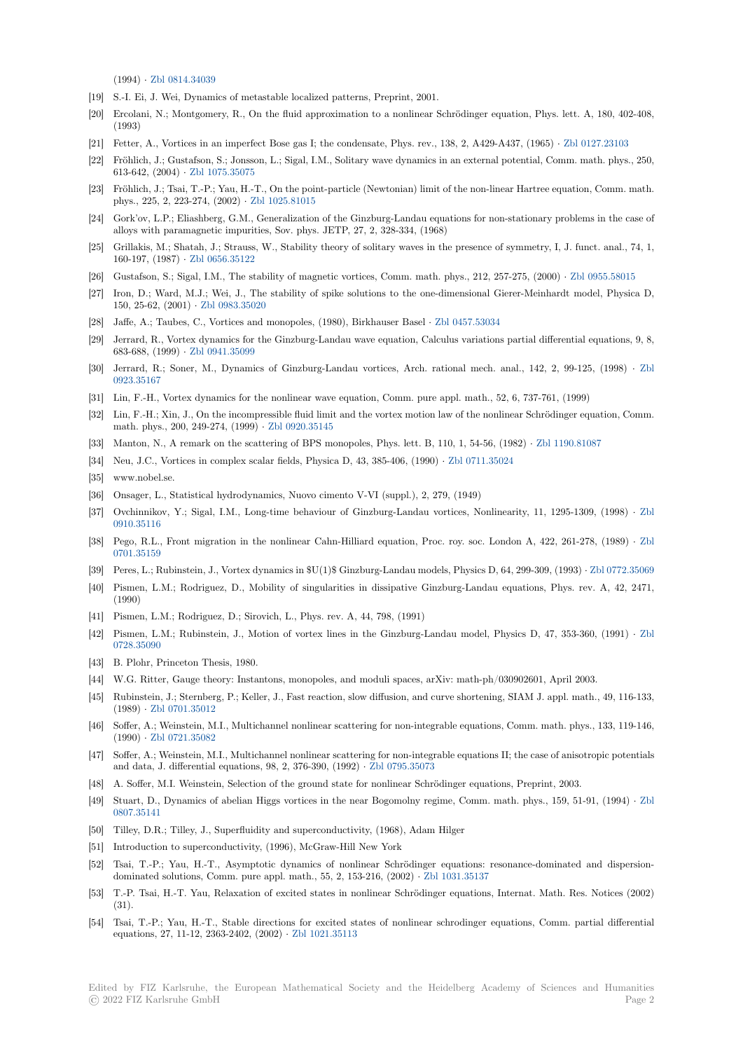(1994) *·* Zbl 0814.34039

- [19] S.-I. Ei, J. Wei, Dynamics of metastable localized patterns, Preprint, 2001.
- [20] Ercolani, N.; Montgomery, R., On the fluid approximation to a nonlinear Schrödinger equation, Phys. lett. A, 180, 402-408, (1993)
- [21] Fetter, [A., Vortices in a](https://zbmath.org/0814.34039)n imperfect Bose gas I; the condensate, Phys. rev., 138, 2, A429-A437, (1965) *·* Zbl 0127.23103
- [22] Fröhlich, J.; Gustafson, S.; Jonsson, L.; Sigal, I.M., Solitary wave dynamics in an external potential, Comm. math. phys., 250, 613-642, (2004) *·* Zbl 1075.35075
- [23] Fröhlich, J.; Tsai, T.-P.; Yau, H.-T., On the point-particle (Newtonian) limit of the non-linear Hartree equation, Comm. math. phys., 225, 2, 223-274, (2002) *·* Zbl 1025.81015
- [24] Gork'ov, L.P.; Eliashberg, G.M., Generalization of the Ginzburg-Landau equations for non-stationary problems in the case of alloys with para[magnetic impurit](https://zbmath.org/1075.35075)ies, Sov. phys. JETP, 27, 2, 328-334, (1968)
- [25] Grillakis, M.; Shatah, J.; Strauss, W., Stability theory of solitary waves in the presence of symmetry, I, J. funct. anal., 74, 1, 160-197, (1987) *·* Zbl 0656.3512[2](https://zbmath.org/1025.81015)
- [26] Gustafson, S.; Sigal, I.M., The stability of magnetic vortices, Comm. math. phys., 212, 257-275, (2000) *·* Zbl 0955.58015
- [27] Iron, D.; Ward, M.J.; Wei, J., The stability of spike solutions to the one-dimensional Gierer-Meinhardt model, Physica D, 150, 25-62, (2001) *·* Zbl 0983.35020
- [28] Jaffe, A.; Taubes[, C., Vortices an](https://zbmath.org/0656.35122)d monopoles, (1980), Birkhauser Basel *·* Zbl 0457.53034
- [29] Jerrard, R., Vortex dynamics for the Ginzburg-Landau wave equation, Calculus variations partial differe[ntial equations,](https://zbmath.org/0955.58015) 9, 8, 683-688, (1999) *·* Zbl 0941.35099
- [30] Jerrard, R.; Soner, [M., Dynamics](https://zbmath.org/0983.35020) of Ginzburg-Landau vortices, Arch. rational mech. anal., 142, 2, 99-125, (1998) *·* Zbl 0923.35167
- [31] Lin, F.-H., Vortex dynamics for the nonlinear wave equation, Comm. pure appl. math., 52, 6, 737-761, (1999)
- [32] Lin, F.-H.; Xin,J[., On the incom](https://zbmath.org/0941.35099)pressible fluid limit and the vortex motion law of the nonlinear Schrödinger equation, Comm. math. phys., 200, 249-274, (1999) *·* Zbl 0920.35145
- [33] [Manton, N.](https://zbmath.org/0923.35167), A remark on the scattering of BPS monopoles, Phys. lett. B, 110, 1, 54-56, (1982) *·* Zbl 1190.81087
- [34] Neu, J.C., Vortices in complex scalar fields, Physica D, 43, 385-406, (1990) *·* Zbl 0711.35024
- [35] www.nobel.se.
- [36] Onsager, L., Statistical hydrodyna[mics, Nuovo cim](https://zbmath.org/0920.35145)ento V-VI (suppl.), 2, 279, (1949)
- [37] Ovchinnikov, Y.; Sigal, I.M., Long-time behaviour of Ginzburg-Landau vor[tices, Nonlinear](https://zbmath.org/0711.35024)ity, [11, 1295-1309, \(](https://zbmath.org/1190.81087)1998) *·* Zbl 0910.35116
- [38] Pego, R.L., Front migration in the nonlinear Cahn-Hilliard equation, Proc. roy. soc. London A, 422, 261-278, (1989) *·* Zbl 0701.35159
- [39] Peres, L.; Rubinstein, J., Vortex dynamics in \$U(1)\$ Ginzburg-Landau models, Physics D, 64, 299-309, (1993) *·* Zbl 0772.35[069](https://zbmath.org/0910.35116)
- [40] [Pismen, L.](https://zbmath.org/0910.35116)M.; Rodriguez, D., Mobility of singularities in dissipative Ginzburg-Landau equations, Phys. rev. A, 42, 2471, (1990)
- [41] [Pismen, L.M](https://zbmath.org/0701.35159).; Rodriguez, D.; Sirovich, L., Phys. rev. A, 44, 798, (1991)
- [42] Pismen, L.M.; Rubinstein, J., Motion of vortex lines in the Ginzburg-Landau model, Physics D, 47, 353-36[0, \(1991\)](https://zbmath.org/0772.35069) *·* Zbl 0728.35090
- [43] B. Plohr, Princeton Thesis, 1980.
- [44] W.G. Ritter, Gauge theory: Instantons, monopoles, and moduli spaces, arXiv: math-ph/030902601, April 2003.
- [45] Rubinstein, J.; Sternberg, P.; Keller, J., Fast reaction, slow diffusion, and curve shortening, SIAM J. appl. math., 49, 116-[133,](https://zbmath.org/0728.35090) [\(1989\)](https://zbmath.org/0728.35090) *·* Zbl 0701.35012
- [46] Soffer, A.; Weinstein, M.I., Multichannel nonlinear scattering for non-integrable equations, Comm. math. phys., 133, 119-146, (1990) *·* Zbl 0721.35082
- [47] Soffer, A.; Weinstein, M.I., Multichannel nonlinear scattering for non-integrable equations II; the case of anisotropic potentials and dat[a, J. differential](https://zbmath.org/0701.35012) equations, 98, 2, 376-390, (1992) *·* Zbl 0795.35073
- [48] A. Soffer, M.I. Weinstein, Selection of the ground state for nonlinear Schrödinger equations, Preprint, 2003.
- [49] Stuart, [D., Dynamics of](https://zbmath.org/0721.35082) abelian Higgs vortices in the near Bogomolny regime, Comm. math. phys., 159, 51-91, (1994) *·* Zbl 0807.35141
- [50] Tilley, D.R.; Tilley, J., Superfluidity and superconductivit[y, \(1968\), Adam](https://zbmath.org/0795.35073) Hilger
- [51] Introduction to superconductivity, (1996), McGraw-Hill New York
- [52] Tsai, T.-P.; Yau, H.-T., Asymptotic dynamics of nonlinear Schrödinger equations: resonance-dominated and dispers[ion](https://zbmath.org/0807.35141)[dominated](https://zbmath.org/0807.35141) solutions, Comm. pure appl. math., 55, 2, 153-216, (2002) *·* Zbl 1031.35137
- [53] T.-P. Tsai, H.-T. Yau, Relaxation of excited states in nonlinear Schrödinger equations, Internat. Math. Res. Notices (2002) (31).
- [54] Tsai, T.-P.; Yau, H.-T., Stable directions for excited states of nonlinear schrodinger equations, Comm. partial differential equations, 27, 11-12, 2363-2402, (2002) *·* Zbl 1021.35113